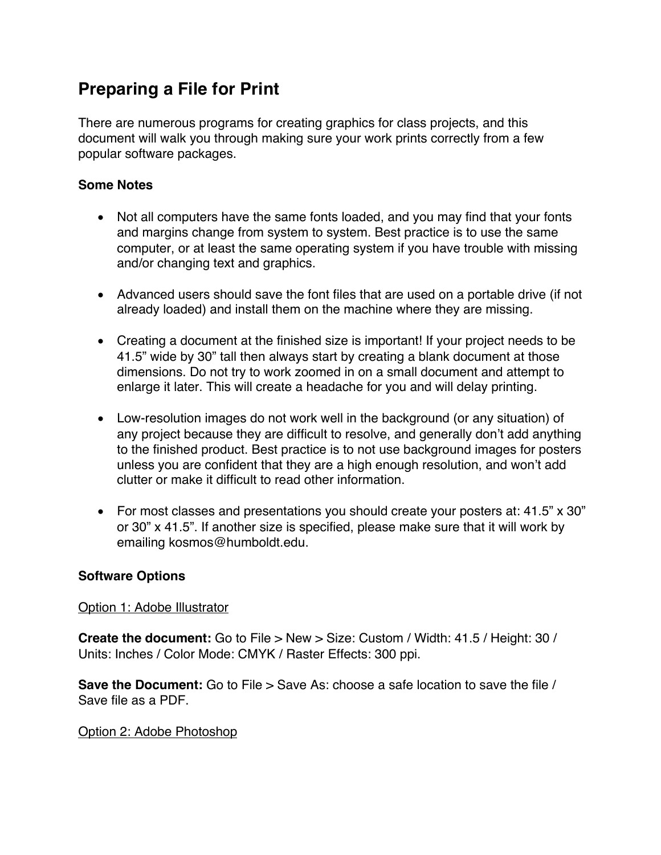# **Preparing a File for Print**

There are numerous programs for creating graphics for class projects, and this document will walk you through making sure your work prints correctly from a few popular software packages.

## **Some Notes**

- Not all computers have the same fonts loaded, and you may find that your fonts and margins change from system to system. Best practice is to use the same computer, or at least the same operating system if you have trouble with missing and/or changing text and graphics.
- Advanced users should save the font files that are used on a portable drive (if not already loaded) and install them on the machine where they are missing.
- Creating a document at the finished size is important! If your project needs to be 41.5" wide by 30" tall then always start by creating a blank document at those dimensions. Do not try to work zoomed in on a small document and attempt to enlarge it later. This will create a headache for you and will delay printing.
- Low-resolution images do not work well in the background (or any situation) of any project because they are difficult to resolve, and generally don't add anything to the finished product. Best practice is to not use background images for posters unless you are confident that they are a high enough resolution, and won't add clutter or make it difficult to read other information.
- For most classes and presentations you should create your posters at: 41.5" x 30" or 30" x 41.5". If another size is specified, please make sure that it will work by emailing kosmos@humboldt.edu.

## **Software Options**

#### Option 1: Adobe Illustrator

**Create the document:** Go to File > New > Size: Custom / Width: 41.5 / Height: 30 / Units: Inches / Color Mode: CMYK / Raster Effects: 300 ppi.

**Save the Document:** Go to File > Save As: choose a safe location to save the file / Save file as a PDF.

#### Option 2: Adobe Photoshop